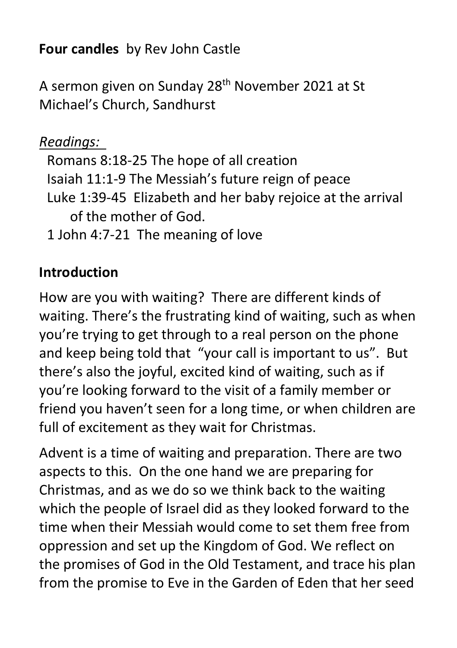**Four candles** by Rev John Castle

A sermon given on Sunday 28th November 2021 at St Michael's Church, Sandhurst

#### *Readings:*

Romans 8:18-25 The hope of all creation Isaiah 11:1-9 The Messiah's future reign of peace Luke 1:39-45 Elizabeth and her baby rejoice at the arrival of the mother of God.

1 John 4:7-21 The meaning of love

## **Introduction**

How are you with waiting? There are different kinds of waiting. There's the frustrating kind of waiting, such as when you're trying to get through to a real person on the phone and keep being told that "your call is important to us". But there's also the joyful, excited kind of waiting, such as if you're looking forward to the visit of a family member or friend you haven't seen for a long time, or when children are full of excitement as they wait for Christmas.

Advent is a time of waiting and preparation. There are two aspects to this. On the one hand we are preparing for Christmas, and as we do so we think back to the waiting which the people of Israel did as they looked forward to the time when their Messiah would come to set them free from oppression and set up the Kingdom of God. We reflect on the promises of God in the Old Testament, and trace his plan from the promise to Eve in the Garden of Eden that her seed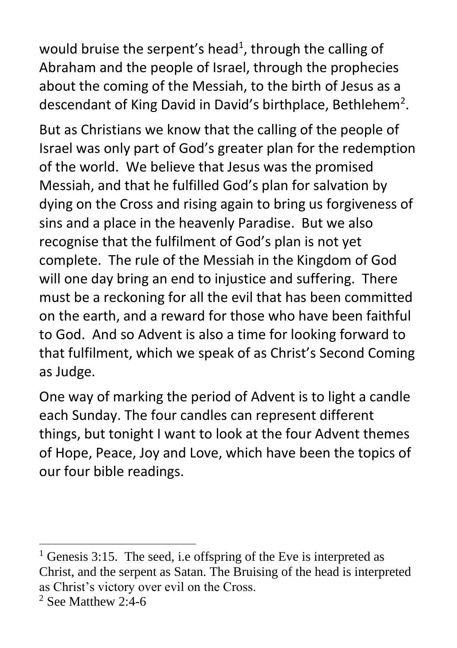would bruise the serpent's head<sup>1</sup>, through the calling of Abraham and the people of Israel, through the prophecies about the coming of the Messiah, to the birth of Jesus as a descendant of King David in David's birthplace, Bethlehem<sup>2</sup>.

But as Christians we know that the calling of the people of Israel was only part of God's greater plan for the redemption of the world. We believe that Jesus was the promised Messiah, and that he fulfilled God's plan for salvation by dying on the Cross and rising again to bring us forgiveness of sins and a place in the heavenly Paradise. But we also recognise that the fulfilment of God's plan is not yet complete. The rule of the Messiah in the Kingdom of God will one day bring an end to injustice and suffering. There must be a reckoning for all the evil that has been committed on the earth, and a reward for those who have been faithful to God. And so Advent is also a time for looking forward to that fulfilment, which we speak of as Christ's Second Coming as Judge.

One way of marking the period of Advent is to light a candle each Sunday. The four candles can represent different things, but tonight I want to look at the four Advent themes of Hope, Peace, Joy and Love, which have been the topics of our four bible readings.

<sup>&</sup>lt;sup>1</sup> Genesis 3:15. The seed, i.e offspring of the Eve is interpreted as Christ, and the serpent as Satan. The Bruising of the head is interpreted as Christ's victory over evil on the Cross.

 $2$  See Matthew 2:4-6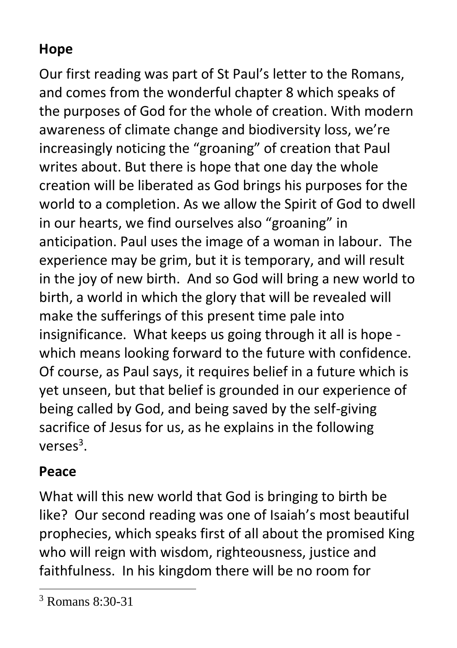# **Hope**

Our first reading was part of St Paul's letter to the Romans, and comes from the wonderful chapter 8 which speaks of the purposes of God for the whole of creation. With modern awareness of climate change and biodiversity loss, we're increasingly noticing the "groaning" of creation that Paul writes about. But there is hope that one day the whole creation will be liberated as God brings his purposes for the world to a completion. As we allow the Spirit of God to dwell in our hearts, we find ourselves also "groaning" in anticipation. Paul uses the image of a woman in labour. The experience may be grim, but it is temporary, and will result in the joy of new birth. And so God will bring a new world to birth, a world in which the glory that will be revealed will make the sufferings of this present time pale into insignificance. What keeps us going through it all is hope which means looking forward to the future with confidence. Of course, as Paul says, it requires belief in a future which is yet unseen, but that belief is grounded in our experience of being called by God, and being saved by the self-giving sacrifice of Jesus for us, as he explains in the following  $verses<sup>3</sup>$ .

### **Peace**

What will this new world that God is bringing to birth be like? Our second reading was one of Isaiah's most beautiful prophecies, which speaks first of all about the promised King who will reign with wisdom, righteousness, justice and faithfulness. In his kingdom there will be no room for

<sup>3</sup> Romans 8:30-31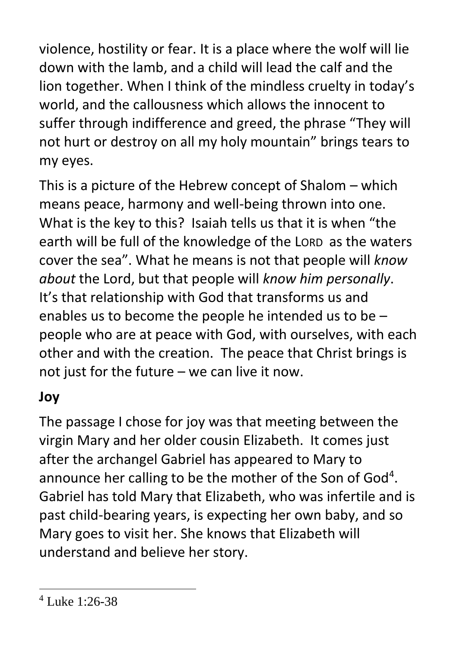violence, hostility or fear. It is a place where the wolf will lie down with the lamb, and a child will lead the calf and the lion together. When I think of the mindless cruelty in today's world, and the callousness which allows the innocent to suffer through indifference and greed, the phrase "They will not hurt or destroy on all my holy mountain" brings tears to my eyes.

This is a picture of the Hebrew concept of Shalom – which means peace, harmony and well-being thrown into one. What is the key to this? Isaiah tells us that it is when "the earth will be full of the knowledge of the LORD as the waters cover the sea". What he means is not that people will *know about* the Lord, but that people will *know him personally*. It's that relationship with God that transforms us and enables us to become the people he intended us to be – people who are at peace with God, with ourselves, with each other and with the creation. The peace that Christ brings is not just for the future – we can live it now.

### **Joy**

The passage I chose for joy was that meeting between the virgin Mary and her older cousin Elizabeth. It comes just after the archangel Gabriel has appeared to Mary to announce her calling to be the mother of the Son of God<sup>4</sup>. Gabriel has told Mary that Elizabeth, who was infertile and is past child-bearing years, is expecting her own baby, and so Mary goes to visit her. She knows that Elizabeth will understand and believe her story.

 $4$  Luke 1:26-38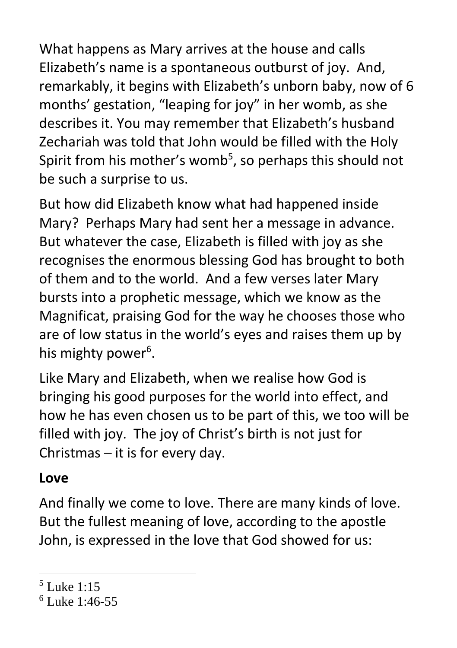What happens as Mary arrives at the house and calls Elizabeth's name is a spontaneous outburst of joy. And, remarkably, it begins with Elizabeth's unborn baby, now of 6 months' gestation, "leaping for joy" in her womb, as she describes it. You may remember that Elizabeth's husband Zechariah was told that John would be filled with the Holy Spirit from his mother's womb<sup>5</sup>, so perhaps this should not be such a surprise to us.

But how did Elizabeth know what had happened inside Mary? Perhaps Mary had sent her a message in advance. But whatever the case, Elizabeth is filled with joy as she recognises the enormous blessing God has brought to both of them and to the world. And a few verses later Mary bursts into a prophetic message, which we know as the Magnificat, praising God for the way he chooses those who are of low status in the world's eyes and raises them up by his mighty power<sup>6</sup>.

Like Mary and Elizabeth, when we realise how God is bringing his good purposes for the world into effect, and how he has even chosen us to be part of this, we too will be filled with joy. The joy of Christ's birth is not just for Christmas – it is for every day.

#### **Love**

And finally we come to love. There are many kinds of love. But the fullest meaning of love, according to the apostle John, is expressed in the love that God showed for us:

 $<sup>5</sup>$  Luke 1:15</sup>

<sup>6</sup> Luke 1:46-55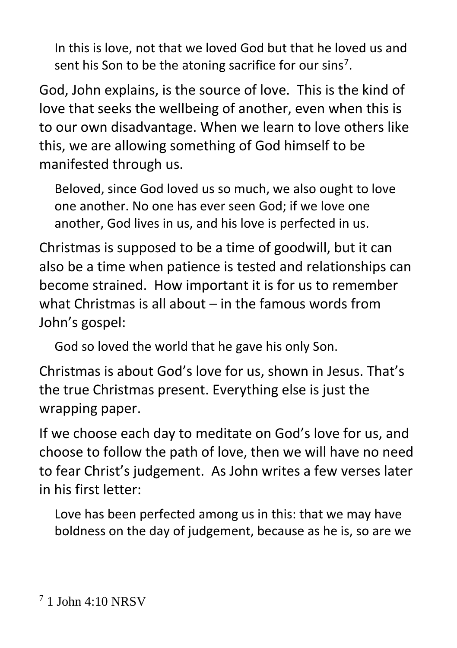In this is love, not that we loved God but that he loved us and sent his Son to be the atoning sacrifice for our sins<sup>7</sup>.

God, John explains, is the source of love. This is the kind of love that seeks the wellbeing of another, even when this is to our own disadvantage. When we learn to love others like this, we are allowing something of God himself to be manifested through us.

Beloved, since God loved us so much, we also ought to love one another. No one has ever seen God; if we love one another, God lives in us, and his love is perfected in us.

Christmas is supposed to be a time of goodwill, but it can also be a time when patience is tested and relationships can become strained. How important it is for us to remember what Christmas is all about – in the famous words from John's gospel:

God so loved the world that he gave his only Son.

Christmas is about God's love for us, shown in Jesus. That's the true Christmas present. Everything else is just the wrapping paper.

If we choose each day to meditate on God's love for us, and choose to follow the path of love, then we will have no need to fear Christ's judgement. As John writes a few verses later in his first letter:

Love has been perfected among us in this: that we may have boldness on the day of judgement, because as he is, so are we

<sup>7</sup> 1 John 4:10 NRSV